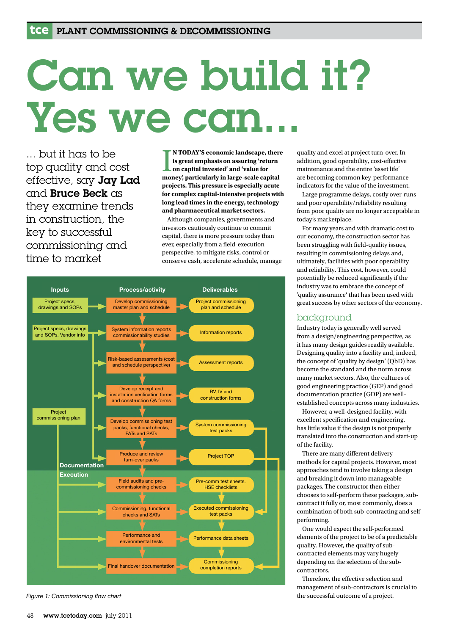# Can we build it? Yes we can

... but it has to be top quality and cost effective, say Jay Lad and Bruce Beck as they examine trends in construction, the key to successful commissioning and time to market

I **MODAY'S** economic landscape, there is great emphasis on assuring 'return<br>on capital invested' and 'value for<br>money', particularly in large-scale capital **N TODAY'S economic landscape, there is great emphasis on assuring 'return on capital invested' and 'value for projects. This pressure is especially acute for complex capital-intensive projects with long lead times in the energy, technology and pharmaceutical market sectors.**

 Although companies, governments and investors cautiously continue to commit capital, there is more pressure today than ever, especially from a field-execution perspective, to mitigate risks, control or conserve cash, accelerate schedule, manage



*Figure 1: Commissioning flow chart*

quality and excel at project turn-over. In addition, good operability, cost-effective maintenance and the entire 'asset life' are becoming common key-performance indicators for the value of the investment.

 Large programme delays, costly over-runs and poor operability/reliability resulting from poor quality are no longer acceptable in today's marketplace.

 For many years and with dramatic cost to our economy, the construction sector has been struggling with field-quality issues, resulting in commissioning delays and, ultimately, facilities with poor operability and reliability. This cost, however, could potentially be reduced significantly if the industry was to embrace the concept of 'quality assurance' that has been used with great success by other sectors of the economy.

## background

Industry today is generally well served from a design/engineering perspective, as it has many design guides readily available. Designing quality into a facility and, indeed, the concept of 'quality by design' (QbD) has become the standard and the norm across many market sectors. Also, the cultures of good engineering practice (GEP) and good documentation practice (GDP) are wellestablished concepts across many industries.

 However, a well-designed facility, with excellent specification and engineering, has little value if the design is not properly translated into the construction and start-up of the facility.

 There are many different delivery methods for capital projects. However, most approaches tend to involve taking a design and breaking it down into manageable packages. The constructor then either chooses to self-perform these packages, subcontract it fully or, most commonly, does a combination of both sub-contracting and selfperforming.

 One would expect the self-performed elements of the project to be of a predictable quality. However, the quality of subcontracted elements may vary hugely depending on the selection of the subcontractors.

 Therefore, the effective selection and management of sub-contractors is crucial to the successful outcome of a project.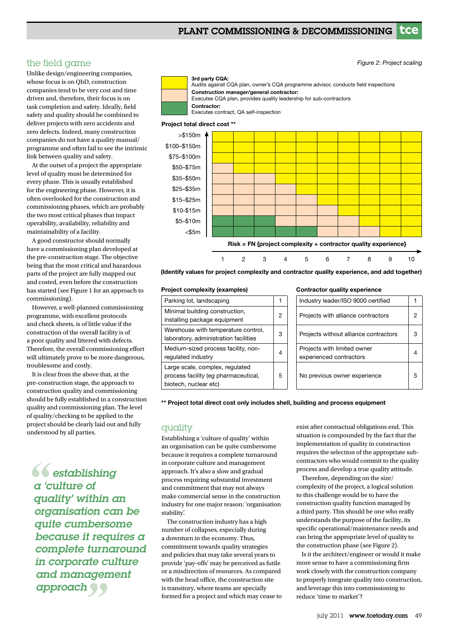# PLANT COMMISSIONING & DECOMMISSIONING **tce**

the field game

Unlike design/engineering companies, whose focus is on QbD, construction companies tend to be very cost and time driven and, therefore, their focus is on task completion and safety. Ideally, field safety and quality should be combined to deliver projects with zero accidents and zero defects. Indeed, many construction companies do not have a quality manual/ programme and often fail to see the intrinsic link between quality and safety.

 At the outset of a project the appropriate level of quality must be determined for every phase. This is usually established for the engineering phase. However, it is often overlooked for the construction and commissioning phases, which are probably the two most critical phases that impact operability, availability, reliability and maintainability of a facility.

 A good constructor should normally have a commissioning plan developed at the pre-construction stage. The objective being that the most critical and hazardous parts of the project are fully mapped out and costed, even before the construction has started (see Figure 1 for an approach to commissioning).

 However, a well-planned commissioning programme, with excellent protocols and check sheets, is of little value if the construction of the overall facility is of a poor quality and littered with defects. Therefore, the overall commissioning effort will ultimately prove to be more dangerous, troublesome and costly.

 It is clear from the above that, at the pre-construction stage, the approach to construction quality and commissioning should be fully established in a construction quality and commissioning plan. The level of quality/checking to be applied to the project should be clearly laid out and fully understood by all parties.

and management<br>approach 66<br>*a* <sup>t</sup> *C establishing a 'culture of quality' within an organisation can be quite cumbersome because it requires a complete turnaround in corporate culture approach*





#### Project total direct cost \*\*



(Identify values for project complexity and contractor quality experience, and add together)

#### Project complexity (examples)

| Parking lot, landscaping                                                                         |   |
|--------------------------------------------------------------------------------------------------|---|
| Minimal building construction,<br>installing package equipment                                   | 2 |
| Warehouse with temperature control,<br>laboratory, administration facilities                     | З |
| Medium-sized process facility, non-<br>regulated industry                                        |   |
| Large scale, complex, regulated<br>process facility (eg pharmaceutical,<br>biotech, nuclear etc) | 5 |

#### Contractor quality experience

| Industry leader/ISO 9000 certified                     |   |
|--------------------------------------------------------|---|
| Projects with alliance contractors                     |   |
| Projects without alliance contractors                  | З |
| Projects with limited owner<br>experienced contractors |   |
| No previous owner experience                           | 5 |

*Figure 2: Project scaling*

\*\* Project total direct cost only includes shell, building and process equipment

### quality

Establishing a 'culture of quality' within an organisation can be quite cumbersome because it requires a complete turnaround in corporate culture and management approach. It's also a slow and gradual process requiring substantial investment and commitment that may not always make commercial sense in the construction industry for one major reason: 'organisation stability'.

 The construction industry has a high number of collapses, especially during a downturn in the economy. Thus, commitment towards quality strategies and policies that may take several years to provide 'pay-offs' may be perceived as futile or a misdirection of resources. As compared with the head office, the construction site is transitory, where teams are specially formed for a project and which may cease to exist after contractual obligations end. This situation is compounded by the fact that the implementation of quality in construction requires the selection of the appropriate subcontractors who would commit to the quality process and develop a true quality attitude.

 Therefore, depending on the size/ complexity of the project, a logical solution to this challenge would be to have the construction quality function managed by a third party. This should be one who really understands the purpose of the facility, its specific operational/maintenance needs and can bring the appropriate level of quality to the construction phase (see Figure 2).

 Is it the architect/engineer or would it make more sense to have a commissioning firm work closely with the construction company to properly integrate quality into construction, and leverage this into commissioning to reduce 'time to market'?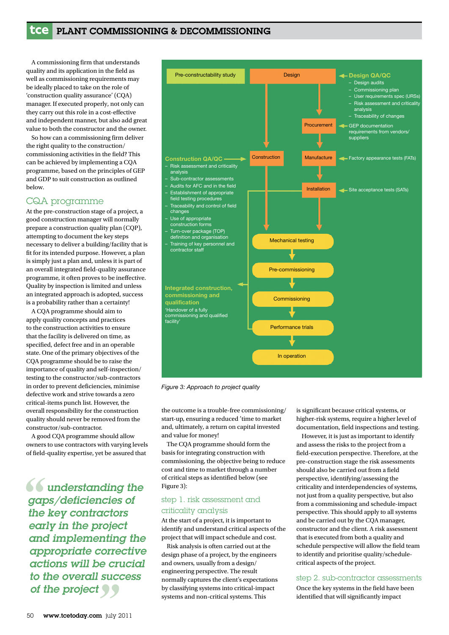# **tce** PLANT COMMISSIONING & DECOMMISSIONING

 A commissioning firm that understands quality and its application in the field as well as commissioning requirements may be ideally placed to take on the role of 'construction quality assurance' (CQA) manager. If executed properly, not only can they carry out this role in a cost-effective and independent manner, but also add great value to both the constructor and the owner.

 So how can a commissioning firm deliver the right quality to the construction/ commissioning activities in the field? This can be achieved by implementing a CQA programme, based on the principles of GEP and GDP to suit construction as outlined below.

# CQA programme

At the pre-construction stage of a project, a good construction manager will normally prepare a construction quality plan (CQP), attempting to document the key steps necessary to deliver a building/facility that is fit for its intended purpose. However, a plan is simply just a plan and, unless it is part of an overall integrated field-quality assurance programme, it often proves to be ineffective. Quality by inspection is limited and unless an integrated approach is adopted, success is a probability rather than a certainty!

 A CQA programme should aim to apply quality concepts and practices to the construction activities to ensure that the facility is delivered on time, as specified, defect free and in an operable state. One of the primary objectives of the CQA programme should be to raise the importance of quality and self-inspection/ testing to the constructor/sub-contractors in order to prevent deficiencies, minimise defective work and strive towards a zero critical-items punch list. However, the overall responsibility for the construction quality should never be removed from the constructor/sub-contractor.

 A good CQA programme should allow owners to use contractors with varying levels of field-quality expertise, yet be assured that

*" to the overall success*   $66$  *ga*<br>the  *understanding the gaps/deficiencies of the key contractors early in the project and implementing the appropriate corrective actions will be crucial of the project*



*Figure 3: Approach to project quality*

the outcome is a trouble-free commissioning/ start-up, ensuring a reduced 'time to market and, ultimately, a return on capital invested and value for money!

 The CQA programme should form the basis for integrating construction with commissioning, the objective being to reduce cost and time to market through a number of critical steps as identified below (see Figure 3):

# step 1. risk assessment and criticality analysis

At the start of a project, it is important to identify and understand critical aspects of the project that will impact schedule and cost.

 Risk analysis is often carried out at the design phase of a project, by the engineers and owners, usually from a design/ engineering perspective. The result normally captures the client's expectations by classifying systems into critical-impact systems and non-critical systems. This

is significant because critical systems, or higher-risk systems, require a higher level of documentation, field inspections and testing.

 However, it is just as important to identify and assess the risks to the project from a field-execution perspective. Therefore, at the pre-construction stage the risk assessments should also be carried out from a field perspective, identifying/assessing the criticality and interdependencies of systems, not just from a quality perspective, but also from a commissioning and schedule-impact perspective. This should apply to all systems and be carried out by the CQA manager, constructor and the client. A risk assessment that is executed from both a quality and schedule perspective will allow the field team to identify and prioritise quality/schedulecritical aspects of the project.

### step 2. sub-contractor assessments

Once the key systems in the field have been identified that will significantly impact